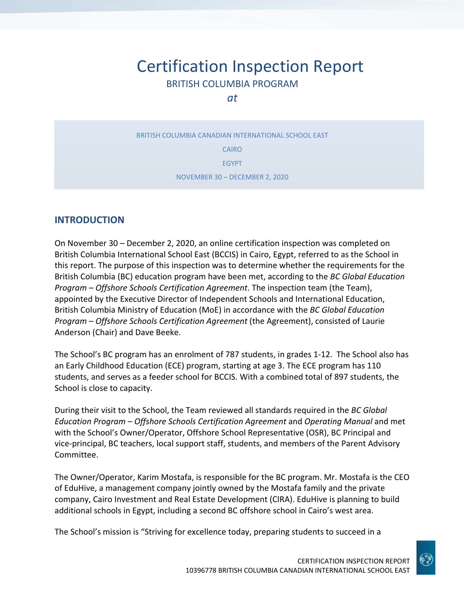# Certification Inspection Report BRITISH COLUMBIA PROGRAM

*at*

BRITISH COLUMBIA CANADIAN INTERNATIONAL SCHOOL EAST CAIRO EGYPT NOVEMBER 30 – DECEMBER 2, 2020

## **INTRODUCTION**

On November 30 – December 2, 2020, an online certification inspection was completed on British Columbia International School East (BCCIS) in Cairo, Egypt, referred to as the School in this report. The purpose of this inspection was to determine whether the requirements for the British Columbia (BC) education program have been met, according to the *BC Global Education Program – Offshore Schools Certification Agreement*. The inspection team (the Team), appointed by the Executive Director of Independent Schools and International Education, British Columbia Ministry of Education (MoE) in accordance with the *BC Global Education Program – Offshore Schools Certification Agreement* (the Agreement), consisted of Laurie Anderson (Chair) and Dave Beeke.

The School's BC program has an enrolment of 787 students, in grades 1‐12. The School also has an Early Childhood Education (ECE) program, starting at age 3. The ECE program has 110 students, and serves as a feeder school for BCCIS. With a combined total of 897 students, the School is close to capacity.

During their visit to the School, the Team reviewed all standards required in the *BC Global Education Program – Offshore Schools Certification Agreement* and *Operating Manual* and met with the School's Owner/Operator, Offshore School Representative (OSR), BC Principal and vice‐principal, BC teachers, local support staff, students, and members of the Parent Advisory Committee.

The Owner/Operator, Karim Mostafa, is responsible for the BC program. Mr. Mostafa is the CEO of EduHive, a management company jointly owned by the Mostafa family and the private company, Cairo Investment and Real Estate Development (CIRA). EduHive is planning to build additional schools in Egypt, including a second BC offshore school in Cairo's west area.

The School's mission is "Striving for excellence today, preparing students to succeed in a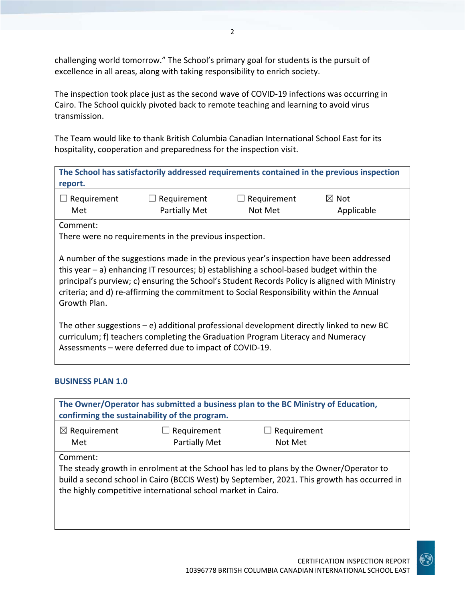challenging world tomorrow." The School's primary goal for students is the pursuit of excellence in all areas, along with taking responsibility to enrich society.

The inspection took place just as the second wave of COVID‐19 infections was occurring in Cairo. The School quickly pivoted back to remote teaching and learning to avoid virus transmission.

The Team would like to thank British Columbia Canadian International School East for its hospitality, cooperation and preparedness for the inspection visit.

**The School has satisfactorily addressed requirements contained in the previous inspection report.**

| $\Box$ Requirement | $\Box$ Requirement | $\Box$ Requirement | $\boxtimes$ Not |
|--------------------|--------------------|--------------------|-----------------|
| Met                | Partially Met      | Not Met            | Applicable      |

Comment:

There were no requirements in the previous inspection.

A number of the suggestions made in the previous year's inspection have been addressed this year – a) enhancing IT resources; b) establishing a school‐based budget within the principal's purview; c) ensuring the School's Student Records Policy is aligned with Ministry criteria; and d) re-affirming the commitment to Social Responsibility within the Annual Growth Plan.

The other suggestions – e) additional professional development directly linked to new BC curriculum; f) teachers completing the Graduation Program Literacy and Numeracy Assessments – were deferred due to impact of COVID‐19.

### **BUSINESS PLAN 1.0**

|                                | confirming the sustainability of the program.                | The Owner/Operator has submitted a business plan to the BC Ministry of Education,                                                                                                     |  |
|--------------------------------|--------------------------------------------------------------|---------------------------------------------------------------------------------------------------------------------------------------------------------------------------------------|--|
| $\boxtimes$ Requirement<br>Met | Requirement<br><b>Partially Met</b>                          | Requirement<br>Not Met                                                                                                                                                                |  |
| Comment:                       | the highly competitive international school market in Cairo. | The steady growth in enrolment at the School has led to plans by the Owner/Operator to<br>build a second school in Cairo (BCCIS West) by September, 2021. This growth has occurred in |  |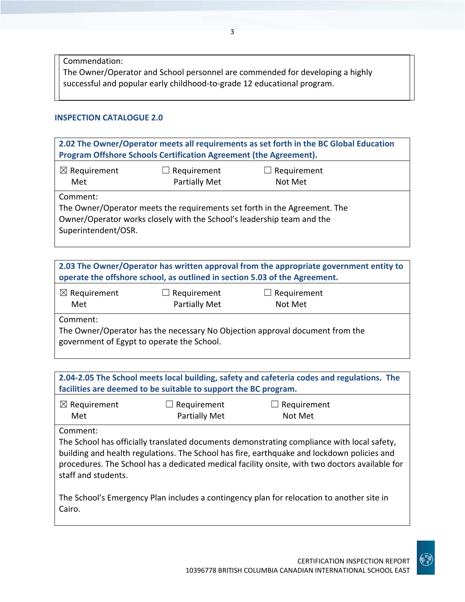Commendation: The Owner/Operator and School personnel are commended for developing a highly successful and popular early childhood‐to‐grade 12 educational program.

#### **INSPECTION CATALOGUE 2.0**

| 2.02 The Owner/Operator meets all requirements as set forth in the BC Global Education<br>Program Offshore Schools Certification Agreement (the Agreement). |                                                                                                                                                     |                        |  |
|-------------------------------------------------------------------------------------------------------------------------------------------------------------|-----------------------------------------------------------------------------------------------------------------------------------------------------|------------------------|--|
| $\boxtimes$ Requirement<br>Met                                                                                                                              | Requirement<br>Partially Met                                                                                                                        | Requirement<br>Not Met |  |
| Comment:<br>Superintendent/OSR.                                                                                                                             | The Owner/Operator meets the requirements set forth in the Agreement. The<br>Owner/Operator works closely with the School's leadership team and the |                        |  |

**2.03 The Owner/Operator has written approval from the appropriate government entity to operate the offshore school, as outlined in section 5.03 of the Agreement.**

| $\boxtimes$ Requirement | $\Box$ Requirement   | $\Box$ Requirement |
|-------------------------|----------------------|--------------------|
| Met                     | <b>Partially Met</b> | Not Met            |

Comment:

The Owner/Operator has the necessary No Objection approval document from the government of Egypt to operate the School.

**2.04‐2.05 The School meets local building, safety and cafeteria codes and regulations. The facilities are deemed to be suitable to support the BC program.**

| $\boxtimes$ Requirement | $\Box$ Requirement   | $\Box$ Requirement |
|-------------------------|----------------------|--------------------|
| Met                     | <b>Partially Met</b> | Not Met            |

Comment:

The School has officially translated documents demonstrating compliance with local safety, building and health regulations. The School has fire, earthquake and lockdown policies and procedures. The School has a dedicated medical facility onsite, with two doctors available for staff and students.

The School's Emergency Plan includes a contingency plan for relocation to another site in Cairo.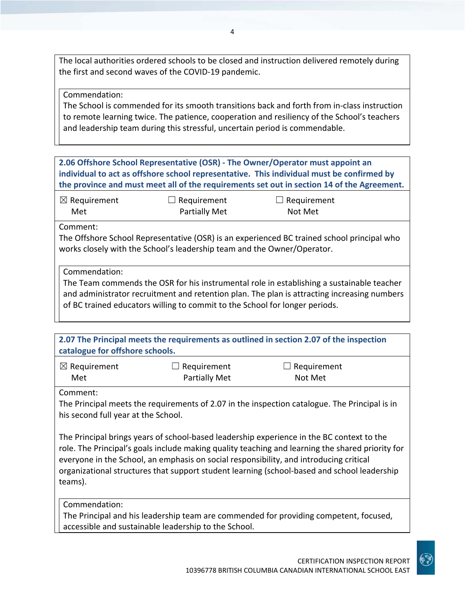The local authorities ordered schools to be closed and instruction delivered remotely during the first and second waves of the COVID‐19 pandemic.

Commendation:

The School is commended for its smooth transitions back and forth from in‐class instruction to remote learning twice. The patience, cooperation and resiliency of the School's teachers and leadership team during this stressful, uncertain period is commendable.

|                                |                                                                         | 2.06 Offshore School Representative (OSR) - The Owner/Operator must appoint an<br>individual to act as offshore school representative. This individual must be confirmed by<br>the province and must meet all of the requirements set out in section 14 of the Agreement. |  |
|--------------------------------|-------------------------------------------------------------------------|---------------------------------------------------------------------------------------------------------------------------------------------------------------------------------------------------------------------------------------------------------------------------|--|
| $\boxtimes$ Requirement<br>Met | Requirement<br>Partially Met                                            | $\Box$ Requirement<br>Not Met                                                                                                                                                                                                                                             |  |
| Comment:                       | works closely with the School's leadership team and the Owner/Operator. | The Offshore School Representative (OSR) is an experienced BC trained school principal who                                                                                                                                                                                |  |
| Commendation:                  |                                                                         | The Team commends the OSR for his instrumental role in establishing a sustainable teacher<br>and administrator resolution and and relation also the plants is attractive in an antarious modern                                                                           |  |

and administrator recruitment and retention plan. The plan is attracting increasing numbers of BC trained educators willing to commit to the School for longer periods.

**2.07 The Principal meets the requirements as outlined in section 2.07 of the inspection catalogue for offshore schools.**

| $\boxtimes$ Requirement | $\Box$ Requirement   | $\Box$ Requirement |
|-------------------------|----------------------|--------------------|
| Met                     | <b>Partially Met</b> | Not Met            |

Comment:

The Principal meets the requirements of 2.07 in the inspection catalogue. The Principal is in his second full year at the School.

The Principal brings years of school‐based leadership experience in the BC context to the role. The Principal's goals include making quality teaching and learning the shared priority for everyone in the School, an emphasis on social responsibility, and introducing critical organizational structures that support student learning (school‐based and school leadership teams).

Commendation:

The Principal and his leadership team are commended for providing competent, focused, accessible and sustainable leadership to the School.

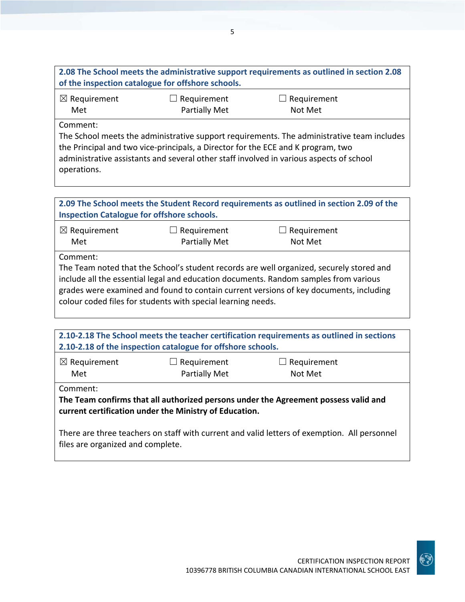| of the inspection catalogue for offshore schools.                                       |                      | 2.08 The School meets the administrative support requirements as outlined in section 2.08  |  |  |
|-----------------------------------------------------------------------------------------|----------------------|--------------------------------------------------------------------------------------------|--|--|
| $\boxtimes$ Requirement                                                                 | $\Box$ Requirement   | $\Box$ Requirement                                                                         |  |  |
| Met                                                                                     | <b>Partially Met</b> | Not Met                                                                                    |  |  |
| Comment:                                                                                |                      |                                                                                            |  |  |
|                                                                                         |                      | The School meets the administrative support requirements. The administrative team includes |  |  |
| the Principal and two vice-principals, a Director for the ECE and K program, two        |                      |                                                                                            |  |  |
| administrative assistants and several other staff involved in various aspects of school |                      |                                                                                            |  |  |
| operations.                                                                             |                      |                                                                                            |  |  |

| <b>Inspection Catalogue for offshore schools.</b>                        |                              | 2.09 The School meets the Student Record requirements as outlined in section 2.09 of the                                                                                                                                                                                   |
|--------------------------------------------------------------------------|------------------------------|----------------------------------------------------------------------------------------------------------------------------------------------------------------------------------------------------------------------------------------------------------------------------|
| $\boxtimes$ Requirement<br>Met                                           | Requirement<br>Partially Met | $\Box$ Requirement<br>Not Met                                                                                                                                                                                                                                              |
| Comment:<br>colour coded files for students with special learning needs. |                              | The Team noted that the School's student records are well organized, securely stored and<br>include all the essential legal and education documents. Random samples from various<br>grades were examined and found to contain current versions of key documents, including |

|                                                                                                                                   | 2.10-2.18 of the inspection catalogue for offshore schools. | 2.10-2.18 The School meets the teacher certification requirements as outlined in sections |  |
|-----------------------------------------------------------------------------------------------------------------------------------|-------------------------------------------------------------|-------------------------------------------------------------------------------------------|--|
| $\boxtimes$ Requirement<br>Met                                                                                                    | $\Box$ Requirement<br>Partially Met                         | $\Box$ Requirement<br>Not Met                                                             |  |
| Comment:                                                                                                                          | current certification under the Ministry of Education.      | The Team confirms that all authorized persons under the Agreement possess valid and       |  |
| There are three teachers on staff with current and valid letters of exemption. All personnel<br>files are organized and complete. |                                                             |                                                                                           |  |

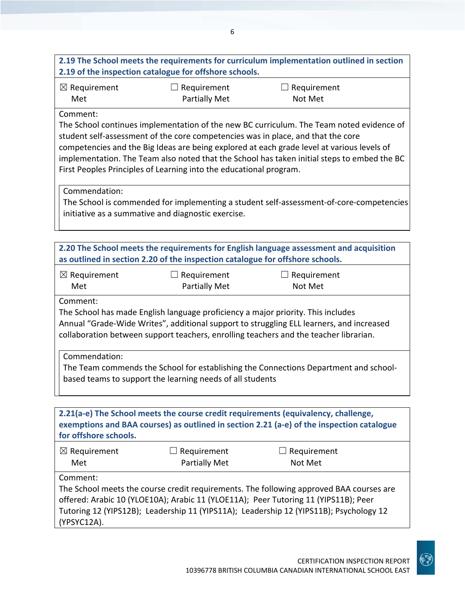## **2.19 The School meets the requirements for curriculum implementation outlined in section 2.19 of the inspection catalogue for offshore schools.**

| $\boxtimes$ Requirement | $\Box$ Requirement   | $\Box$ Requirement |
|-------------------------|----------------------|--------------------|
| Met                     | <b>Partially Met</b> | Not Met            |

## Comment:

The School continues implementation of the new BC curriculum. The Team noted evidence of student self‐assessment of the core competencies was in place, and that the core competencies and the Big Ideas are being explored at each grade level at various levels of implementation. The Team also noted that the School has taken initial steps to embed the BC First Peoples Principles of Learning into the educational program.

Commendation:

The School is commended for implementing a student self‐assessment‐of‐core‐competencies initiative as a summative and diagnostic exercise.

|                                | as outlined in section 2.20 of the inspection catalogue for offshore schools.    | 2.20 The School meets the requirements for English language assessment and acquisition                                                                                                                                                                                   |
|--------------------------------|----------------------------------------------------------------------------------|--------------------------------------------------------------------------------------------------------------------------------------------------------------------------------------------------------------------------------------------------------------------------|
| $\boxtimes$ Requirement<br>Met | Requirement<br><b>Partially Met</b>                                              | $\Box$ Requirement<br>Not Met                                                                                                                                                                                                                                            |
| Comment:                       | The School has made English language proficiency a major priority. This includes | Annual "Grade-Wide Writes", additional support to struggling ELL learners, and increased<br>collaboration between support teachers, enrolling teachers and the teacher librarian.                                                                                        |
| Commendation:                  | based teams to support the learning needs of all students                        | The Team commends the School for establishing the Connections Department and school-                                                                                                                                                                                     |
| for offshore schools.          |                                                                                  | 2.21(a-e) The School meets the course credit requirements (equivalency, challenge,<br>exemptions and BAA courses) as outlined in section 2.21 (a-e) of the inspection catalogue                                                                                          |
| $\boxtimes$ Requirement<br>Met | $\Box$ Requirement<br><b>Partially Met</b>                                       | $\Box$ Requirement<br>Not Met                                                                                                                                                                                                                                            |
| Comment:<br>(YPSYC12A).        |                                                                                  | The School meets the course credit requirements. The following approved BAA courses are<br>offered: Arabic 10 (YLOE10A); Arabic 11 (YLOE11A); Peer Tutoring 11 (YIPS11B); Peer<br>Tutoring 12 (YIPS12B); Leadership 11 (YIPS11A); Leadership 12 (YIPS11B); Psychology 12 |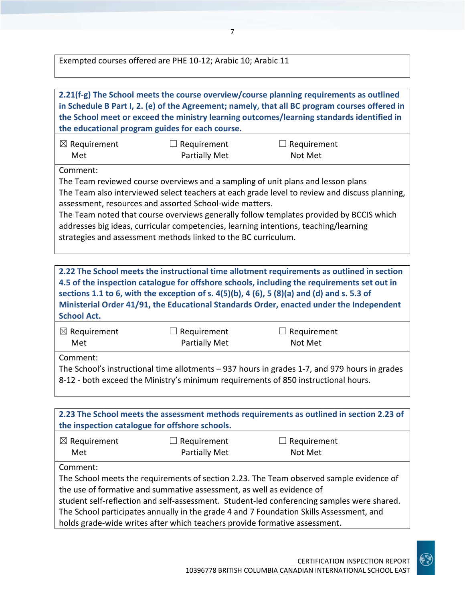Exempted courses offered are PHE 10‐12; Arabic 10; Arabic 11



The School's instructional time allotments – 937 hours in grades 1‐7, and 979 hours in grades 8-12 - both exceed the Ministry's minimum requirements of 850 instructional hours.

**2.23 The School meets the assessment methods requirements as outlined in section 2.23 of the inspection catalogue for offshore schools.** ☒ Requirement Met  $\Box$  Requirement Partially Met  $\Box$  Requirement Not Met Comment: The School meets the requirements of section 2.23. The Team observed sample evidence of the use of formative and summative assessment, as well as evidence of student self‐reflection and self‐assessment. Student‐led conferencing samples were shared. The School participates annually in the grade 4 and 7 Foundation Skills Assessment, and holds grade‐wide writes after which teachers provide formative assessment.

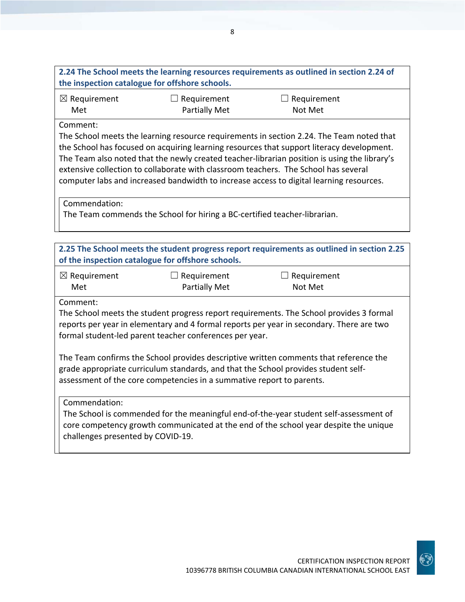| 2.24 The School meets the learning resources requirements as outlined in section 2.24 of<br>the inspection catalogue for offshore schools.                                                                                                                                                                                                                                                                                                                                                           |                                               |                        |  |  |  |
|------------------------------------------------------------------------------------------------------------------------------------------------------------------------------------------------------------------------------------------------------------------------------------------------------------------------------------------------------------------------------------------------------------------------------------------------------------------------------------------------------|-----------------------------------------------|------------------------|--|--|--|
| $\boxtimes$ Requirement<br>Met                                                                                                                                                                                                                                                                                                                                                                                                                                                                       | Requirement<br><b>Partially Met</b>           | Requirement<br>Not Met |  |  |  |
| Comment:<br>The School meets the learning resource requirements in section 2.24. The Team noted that<br>the School has focused on acquiring learning resources that support literacy development.<br>The Team also noted that the newly created teacher-librarian position is using the library's<br>extensive collection to collaborate with classroom teachers. The School has several<br>computer labs and increased bandwidth to increase access to digital learning resources.<br>Commendation: |                                               |                        |  |  |  |
| The Team commends the School for hiring a BC-certified teacher-librarian.                                                                                                                                                                                                                                                                                                                                                                                                                            |                                               |                        |  |  |  |
| 2.25 The School meets the student progress report requirements as outlined in section 2.25<br>of the inspection catalogue for offshore schools.                                                                                                                                                                                                                                                                                                                                                      |                                               |                        |  |  |  |
| $\boxtimes$ Requirement<br>Met                                                                                                                                                                                                                                                                                                                                                                                                                                                                       | Requirement<br>$\Box$<br><b>Partially Met</b> | Requirement<br>Not Met |  |  |  |
| Comment:<br>The School meets the student progress report requirements. The School provides 3 formal<br>reports per year in elementary and 4 formal reports per year in secondary. There are two<br>formal student-led parent teacher conferences per year.                                                                                                                                                                                                                                           |                                               |                        |  |  |  |
| The Team confirms the School provides descriptive written comments that reference the<br>grade appropriate curriculum standards, and that the School provides student self-<br>assessment of the core competencies in a summative report to parents.                                                                                                                                                                                                                                                 |                                               |                        |  |  |  |
| Commendation:<br>The School is commended for the meaningful end-of-the-year student self-assessment of<br>core competency growth communicated at the end of the school year despite the unique<br>challenges presented by COVID-19.                                                                                                                                                                                                                                                                  |                                               |                        |  |  |  |
|                                                                                                                                                                                                                                                                                                                                                                                                                                                                                                      |                                               |                        |  |  |  |
|                                                                                                                                                                                                                                                                                                                                                                                                                                                                                                      |                                               |                        |  |  |  |
|                                                                                                                                                                                                                                                                                                                                                                                                                                                                                                      |                                               |                        |  |  |  |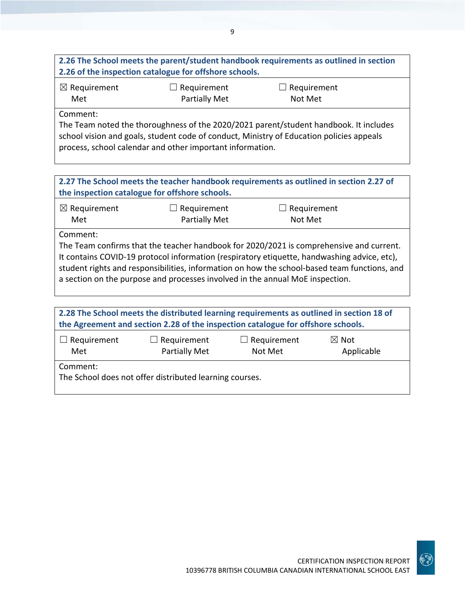## **2.26 The School meets the parent/student handbook requirements as outlined in section 2.26 of the inspection catalogue for offshore schools.**

| $\boxtimes$ Requirement | $\Box$ Requirement   | $\Box$ Requirement |
|-------------------------|----------------------|--------------------|
| Met                     | <b>Partially Met</b> | Not Met            |

Comment:

The Team noted the thoroughness of the 2020/2021 parent/student handbook. It includes school vision and goals, student code of conduct, Ministry of Education policies appeals process, school calendar and other important information.

**2.27 The School meets the teacher handbook requirements as outlined in section 2.27 of the inspection catalogue for offshore schools.**

| $\boxtimes$ Requirement | $\Box$ Requirement   | $\Box$ Requirement |
|-------------------------|----------------------|--------------------|
| Met                     | <b>Partially Met</b> | Not Met            |

Comment:

The Team confirms that the teacher handbook for 2020/2021 is comprehensive and current. It contains COVID-19 protocol information (respiratory etiquette, handwashing advice, etc), student rights and responsibilities, information on how the school‐based team functions, and a section on the purpose and processes involved in the annual MoE inspection.

| 2.28 The School meets the distributed learning requirements as outlined in section 18 of |                                     |                               |                               |  |  |  |
|------------------------------------------------------------------------------------------|-------------------------------------|-------------------------------|-------------------------------|--|--|--|
| the Agreement and section 2.28 of the inspection catalogue for offshore schools.         |                                     |                               |                               |  |  |  |
| $\Box$ Requirement<br>Met                                                                | $\Box$ Requirement<br>Partially Met | $\Box$ Requirement<br>Not Met | $\boxtimes$ Not<br>Applicable |  |  |  |
| Comment:<br>The School does not offer distributed learning courses.                      |                                     |                               |                               |  |  |  |